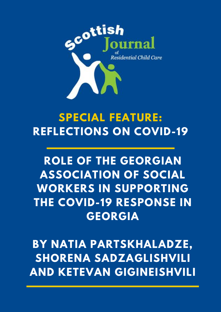

# **SPECIAL FEATURE: REFLECTIONS ON COVID-19**

# **ROLE OF THE GEORGIAN ASSOCIATION OF SOCIAL WORKERS IN SUPPORTING THE COVID-19 RESPONSE IN GEORGIA**

**BY NATIA PARTSKHALADZE, SHORENA SADZAGLISHVILI AND KETEVAN GIGINEISHVILI**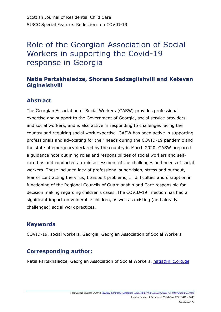# Role of the Georgian Association of Social Workers in supporting the Covid-19 response in Georgia

### **Natia Partskhaladze, Shorena Sadzaglishvili and Ketevan Gigineishvili**

## **Abstract**

The Georgian Association of Social Workers (GASW) provides professional expertise and support to the Government of Georgia, social service providers and social workers, and is also active in responding to challenges facing the country and requiring social work expertise. GASW has been active in supporting professionals and advocating for their needs during the COVID-19 pandemic and the state of emergency declared by the country in March 2020. GASW prepared a guidance note outlining roles and responsibilities of social workers and selfcare tips and conducted a rapid assessment of the challenges and needs of social workers. These included lack of professional supervision, stress and burnout, fear of contracting the virus, transport problems, IT difficulties and disruption in functioning of the Regional Councils of Guardianship and Care responsible for decision making regarding children's cases. The COVID-19 infection has had a significant impact on vulnerable children, as well as existing (and already challenged) social work practices.

# **Keywords**

COVID-19, social workers, Georgia, Georgian Association of Social Workers

# **Corresponding author:**

Natia Partskhaladze, Georgian Association of Social Workers, natia@nilc.org.ge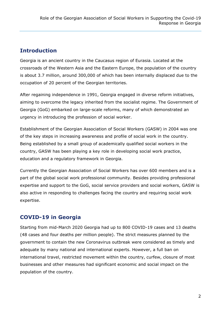### **Introduction**

Georgia is an ancient country in the Caucasus region of Eurasia. Located at the crossroads of the Western Asia and the Eastern Europe, the population of the country is about 3.7 million, around 300,000 of which has been internally displaced due to the occupation of 20 percent of the Georgian territories.

After regaining independence in 1991, Georgia engaged in diverse reform initiatives, aiming to overcome the legacy inherited from the socialist regime. The Government of Georgia (GoG) embarked on large-scale reforms, many of which demonstrated an urgency in introducing the profession of social worker.

Establishment of the Georgian Association of Social Workers (GASW) in 2004 was one of the key steps in increasing awareness and profile of social work in the country. Being established by a small group of academically qualified social workers in the country, GASW has been playing a key role in developing social work practice, education and a regulatory framework in Georgia.

Currently the Georgian Association of Social Workers has over 600 members and is a part of the global social work professional community. Besides providing professional expertise and support to the GoG, social service providers and social workers, GASW is also active in responding to challenges facing the country and requiring social work expertise.

# **COVID-19 in Georgia**

Starting from mid-March 2020 Georgia had up to 800 COVID-19 cases and 13 deaths (48 cases and four deaths per million people). The strict measures planned by the government to contain the new Coronavirus outbreak were considered as timely and adequate by many national and international experts. However, a full ban on international travel, restricted movement within the country, curfew, closure of most businesses and other measures had significant economic and social impact on the population of the country.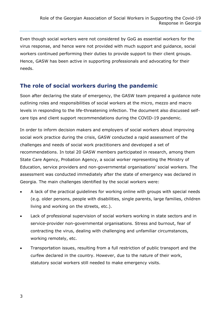Even though social workers were not considered by GoG as essential workers for the virus response, and hence were not provided with much support and guidance, social workers continued performing their duties to provide support to their client groups. Hence, GASW has been active in supporting professionals and advocating for their needs.

#### **The role of social workers during the pandemic**

Soon after declaring the state of emergency, the GASW team prepared a guidance note outlining roles and responsibilities of social workers at the micro, mezzo and macro levels in responding to the life-threatening infection. The document also discussed selfcare tips and client support recommendations during the COVID-19 pandemic.

In order to inform decision makers and employers of social workers about improving social work practice during the crisis, GASW conducted a rapid assessment of the challenges and needs of social work practitioners and developed a set of recommendations. In total 20 GASW members participated in research, among them State Care Agency, Probation Agency, a social worker representing the Ministry of Education, service providers and non-governmental organisations' social workers. The assessment was conducted immediately after the state of emergency was declared in Georgia. The main challenges identified by the social workers were:

- A lack of the practical guidelines for working online with groups with special needs (e.g. older persons, people with disabilities, single parents, large families, children living and working on the streets, etc.).
- Lack of professional supervision of social workers working in state sectors and in service-provider non-governmental organisations. Stress and burnout, fear of contracting the virus, dealing with challenging and unfamiliar circumstances, working remotely, etc.
- Transportation issues, resulting from a full restriction of public transport and the curfew declared in the country. However, due to the nature of their work, statutory social workers still needed to make emergency visits.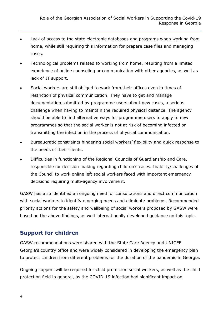- Lack of access to the state electronic databases and programs when working from home, while still requiring this information for prepare case files and managing cases.
- Technological problems related to working from home, resulting from a limited experience of online counseling or communication with other agencies, as well as lack of IT support.
- Social workers are still obliged to work from their offices even in times of restriction of physical communication. They have to get and manage documentation submitted by programme users about new cases, a serious challenge when having to maintain the required physical distance. The agency should be able to find alternative ways for programme users to apply to new programmes so that the social worker is not at risk of becoming infected or transmitting the infection in the process of physical communication.
- Bureaucratic constraints hindering social workers' flexibility and quick response to the needs of their clients.
- Difficulties in functioning of the Regional Councils of Guardianship and Care, responsible for decision making regarding children's cases. Inability/challenges of the Council to work online left social workers faced with important emergency decisions requiring multi-agency involvement.

GASW has also identified an ongoing need for consultations and direct communication with social workers to identify emerging needs and eliminate problems. Recommended priority actions for the safety and wellbeing of social workers proposed by GASW were based on the above findings, as well internationally developed guidance on this topic.

### **Support for children**

GASW recommendations were shared with the State Care Agency and UNICEF Georgia's country office and were widely considered in developing the emergency plan to protect children from different problems for the duration of the pandemic in Georgia.

Ongoing support will be required for child protection social workers, as well as the child protection field in general, as the COVID-19 infection had significant impact on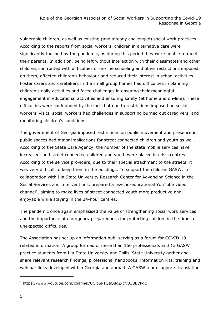vulnerable children, as well as existing (and already challenged) social work practices. According to the reports from social workers, children in alternative care were significantly touched by the pandemic, as during this period they were unable to meet their parents. In addition, being left without interaction with their classmates and other children, confronted with difficulties of on-line schooling and other restrictions imposed on them, affected children's behaviour and reduced their interest in school activities. Foster carers and caretakers in the small group homes had difficulties in planning children's daily activities and faced challenges in ensuring their meaningful engagement in educational activities and ensuring safety (at home and on-line). These difficulties were confounded by the fact that due to restrictions imposed on social workers' visits, social workers had challenges in supporting burned out caregivers, and monitoring children's conditions.

The government of Georgia imposed restrictions on public movement and presence in public spaces had major implications for street connected children and youth as well. According to the State Care Agency, the number of the state mobile services have increased, and street connected children and youth were placed in crisis centres. According to the service providers, due to their special attachment to the streets, it was very difficult to keep them in the buildings. To support the children GASW, in collaboration with Ilia State University Research Center for Advancing Science in the Social Services and Interventions, prepared a psycho-educational YouTube video  $channel<sup>1</sup>$ , aiming to make lives of street connected youth more productive and enjoyable while staying in the 24-hour centres.

The pandemic once again emphasised the value of strengthening social work services and the importance of emergency preparedness for protecting children in the times of unexpected difficulties.

The Association has set up an information hub, serving as a forum for COVID-19 related information. A group formed of more than 150 professionals and 13 GASW practice students from Ilia State University and Tbilisi State University gather and share relevant research findings, professional handbooks, information kits, training and webinar links developed within Georgia and abroad. A GASW team supports translation

1

<sup>1</sup> <https://www.youtube.com/channel/UClpSPTQeQ8qZ-cNU3BEVPgQ>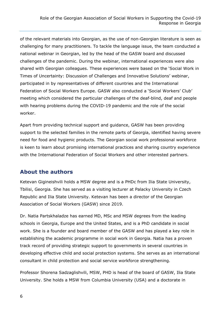of the relevant materials into Georgian, as the use of non-Georgian literature is seen as challenging for many practitioners. To tackle the language issue, the team conducted a national webinar in Georgian, led by the head of the GASW board and discussed challenges of the pandemic. During the webinar, international experiences were also shared with Georgian colleagues. These experiences were based on the 'Social Work in Times of Uncertainty: Discussion of Challenges and Innovative Solutions' webinar, participated in by representatives of different countries and the International Federation of Social Workers Europe. GASW also conducted a 'Social Workers' Club' meeting which considered the particular challenges of the deaf-blind, deaf and people with hearing problems during the COVID-19 pandemic and the role of the social worker.

Apart from providing technical support and guidance, GASW has been providing support to the selected families in the remote parts of Georgia, identified having severe need for food and hygienic products. The Georgian social work professional workforce is keen to learn about promising international practices and sharing country experience with the International Federation of Social Workers and other interested partners.

### **About the authors**

Ketevan Gigineishvili holds a MSW degree and is a PHDc from Ilia State University, Tbilisi, Georgia. She has served as a visiting lecturer at Palacky University in Czech Republic and Ilia State University. Ketevan has been a director of the Georgian Association of Social Workers (GASW) since 2019.

Dr. Natia Partskhaladze has earned MD, MSc and MSW degrees from the leading schools in Georgia, Europe and the United States, and is a PhD candidate in social work. She is a founder and board member of the GASW and has played a key role in establishing the academic programme in social work in Georgia. Natia has a proven track record of providing strategic support to governments in several countries in developing effective child and social protection systems. She serves as an international consultant in child protection and social service workforce strengthening.

Professor Shorena Sadzaglishvili, MSW, PHD is head of the board of GASW, Ilia State University. She holds a MSW from Columbia University (USA) and a doctorate in